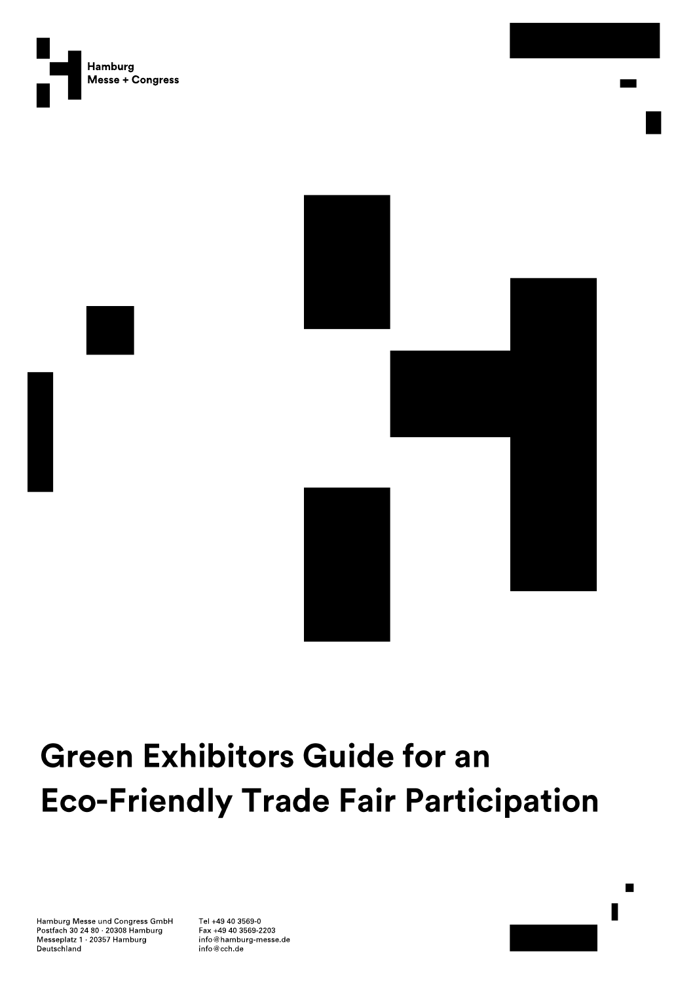





# **Green Exhibitors Guide for an Eco-Friendly Trade Fair Participation**

Hamburg Messe und Congress GmbH Postfach 30 24 80 20308 Hamburg Messeplatz 1 20357 Hamburg Deutschland

Tel +49 40 3569-0 Fax +49 40 3569-2203 info@hamburg-messe.de info@cch.de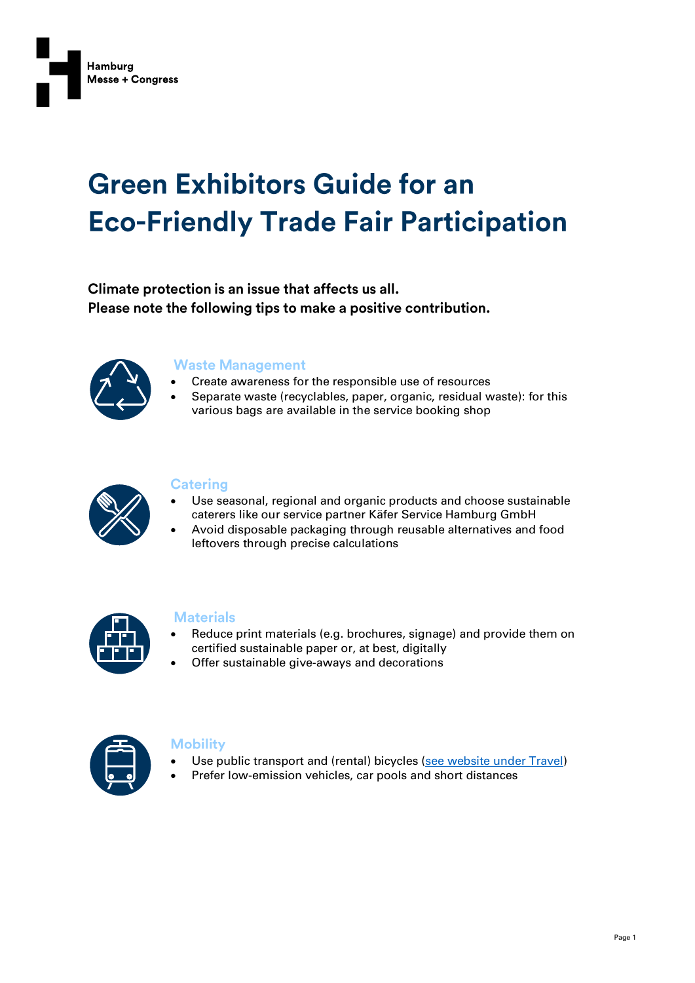

# **Green Exhibitors Guide for an Eco-Friendly Trade Fair Participation**

Climate protection is an issue that affects us all. Please note the following tips to make a positive contribution.



#### **Waste Management**

- Create awareness for the responsible use of resources
- Separate waste (recyclables, paper, organic, residual waste): for this various bags are available in the service booking shop



### **Catering**

- Use seasonal, regional and organic products and choose sustainable caterers like our service partner Käfer Service Hamburg GmbH
- Avoid disposable packaging through reusable alternatives and food leftovers through precise calculations



#### **Materials**

- Reduce print materials (e.g. brochures, signage) and provide them on certified sustainable paper or, at best, digitally
- Offer sustainable give-aways and decorations



#### **Mobility**

- Use public transport and (rental) bicycles [\(see website under Travel\)](https://www.hamburg-messe.de/en/travel)
- Prefer low-emission vehicles, car pools and short distances